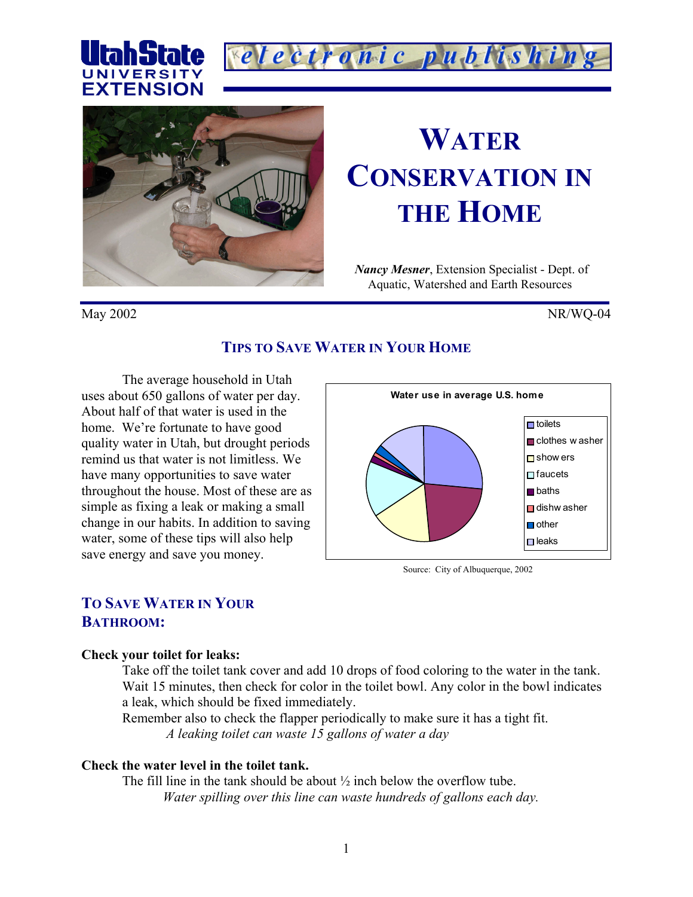





# **WATER CONSERVATION IN THE HOME**

*Nancy Mesner*, Extension Specialist - Dept. of Aquatic, Watershed and Earth Resources

May 2002 NR/WQ-04

# **TIPS TO SAVE WATER IN YOUR HOME**

The average household in Utah uses about 650 gallons of water per day. About half of that water is used in the home. We're fortunate to have good quality water in Utah, but drought periods remind us that water is not limitless. We have many opportunities to save water throughout the house. Most of these are as simple as fixing a leak or making a small change in our habits. In addition to saving water, some of these tips will also help save energy and save you money.



Source: City of Albuquerque, 2002

# **TO SAVE WATER IN YOUR BATHROOM:**

#### **Check your toilet for leaks:**

Take off the toilet tank cover and add 10 drops of food coloring to the water in the tank. Wait 15 minutes, then check for color in the toilet bowl. Any color in the bowl indicates a leak, which should be fixed immediately.

Remember also to check the flapper periodically to make sure it has a tight fit. *A leaking toilet can waste 15 gallons of water a day* 

# **Check the water level in the toilet tank.**

The fill line in the tank should be about ½ inch below the overflow tube. *Water spilling over this line can waste hundreds of gallons each day.*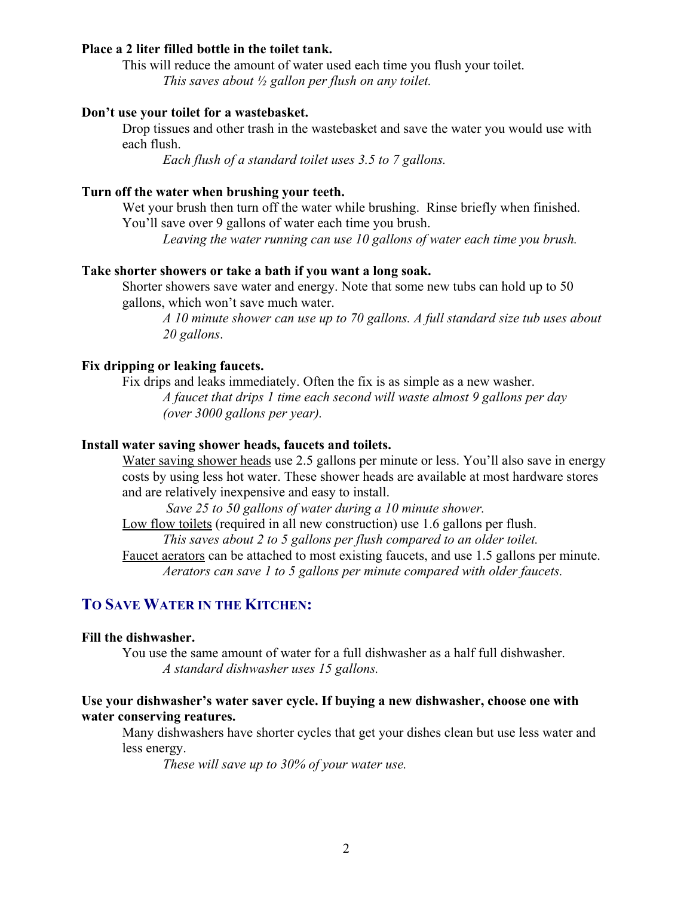#### **Place a 2 liter filled bottle in the toilet tank.**

This will reduce the amount of water used each time you flush your toilet. *This saves about ½ gallon per flush on any toilet.*

## **Don't use your toilet for a wastebasket.**

Drop tissues and other trash in the wastebasket and save the water you would use with each flush.

*Each flush of a standard toilet uses 3.5 to 7 gallons.* 

## **Turn off the water when brushing your teeth.**

Wet your brush then turn off the water while brushing. Rinse briefly when finished. You'll save over 9 gallons of water each time you brush.

*Leaving the water running can use 10 gallons of water each time you brush.* 

#### **Take shorter showers or take a bath if you want a long soak.**

Shorter showers save water and energy. Note that some new tubs can hold up to 50 gallons, which won't save much water.

*A 10 minute shower can use up to 70 gallons. A full standard size tub uses about 20 gallons*.

# **Fix dripping or leaking faucets.**

Fix drips and leaks immediately. Often the fix is as simple as a new washer. *A faucet that drips 1 time each second will waste almost 9 gallons per day (over 3000 gallons per year).* 

## **Install water saving shower heads, faucets and toilets.**

Water saving shower heads use 2.5 gallons per minute or less. You'll also save in energy costs by using less hot water. These shower heads are available at most hardware stores and are relatively inexpensive and easy to install.

 *Save 25 to 50 gallons of water during a 10 minute shower.* 

Low flow toilets (required in all new construction) use 1.6 gallons per flush. *This saves about 2 to 5 gallons per flush compared to an older toilet.* 

Faucet aerators can be attached to most existing faucets, and use 1.5 gallons per minute. *Aerators can save 1 to 5 gallons per minute compared with older faucets.*

# **TO SAVE WATER IN THE KITCHEN:**

## **Fill the dishwasher.**

 You use the same amount of water for a full dishwasher as a half full dishwasher. *A standard dishwasher uses 15 gallons.*

## **Use your dishwasher's water saver cycle. If buying a new dishwasher, choose one with water conserving reatures.**

Many dishwashers have shorter cycles that get your dishes clean but use less water and less energy.

*These will save up to 30% of your water use.*